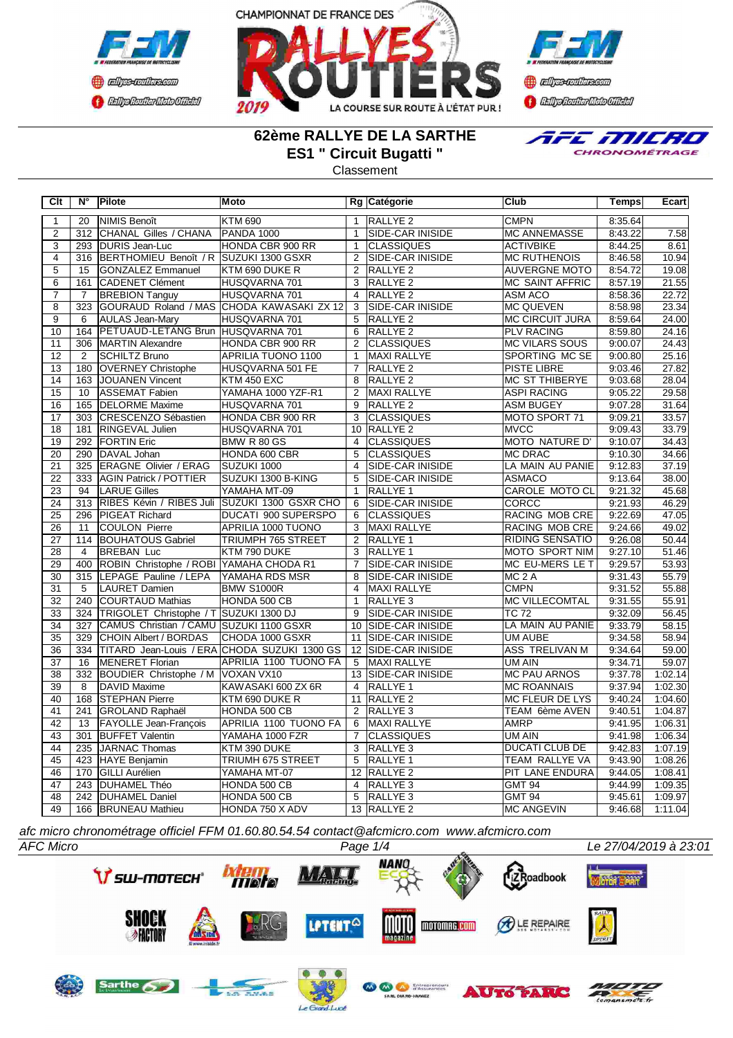



**Confederation Complementation** 

### **62ème RALLYE DE LA SARTHE ES1 " Circuit Bugatti "**

Classement



| Clt             | $N^{\circ}$      | Pilote                                     | <b>Moto</b>                                   |                | Rg Catégorie            | Club                   | <b>Temps</b> | Ecart   |
|-----------------|------------------|--------------------------------------------|-----------------------------------------------|----------------|-------------------------|------------------------|--------------|---------|
| $\mathbf{1}$    | 20               | NIMIS Benoît                               | <b>KTM 690</b>                                | $\mathbf{1}$   | RALLYE <sub>2</sub>     | <b>CMPN</b>            | 8:35.64      |         |
| $\overline{2}$  | 312              | CHANAL Gilles / CHANA                      | PANDA 1000                                    | $\overline{1}$ | SIDE-CAR INISIDE        | <b>MC ANNEMASSE</b>    | 8:43.22      | 7.58    |
| $\overline{3}$  |                  | 293 DURIS Jean-Luc                         | HONDA CBR 900 RR                              | $\mathbf{1}$   | <b>CLASSIQUES</b>       | <b>ACTIVBIKE</b>       | 8:44.25      | 8.61    |
| $\overline{4}$  | $\overline{316}$ | BERTHOMIEU Benoît / R SUZUKI 1300 GSXR     |                                               | $\overline{2}$ | <b>SIDE-CAR INISIDE</b> | <b>MC RUTHENOIS</b>    | 8:46.58      | 10.94   |
| $\overline{5}$  | 15               | <b>GONZALEZ Emmanuel</b>                   | KTM 690 DUKE R                                | 2              | RALLYE <sub>2</sub>     | <b>AUVERGNE MOTO</b>   | 8:54.72      | 19.08   |
| $\overline{6}$  | 161              | CADENET Clément                            | HUSQVARNA 701                                 | 3              | RALLYE <sub>2</sub>     | <b>MC SAINT AFFRIC</b> | 8:57.19      | 21.55   |
| $\overline{7}$  | $\overline{7}$   | <b>BREBION Tanguy</b>                      | HUSQVARNA 701                                 | $\overline{4}$ | RALLYE <sub>2</sub>     | ASM ACO                | 8:58.36      | 22.72   |
| $\overline{8}$  | 323              |                                            | GOURAUD Roland / MAS CHODA KAWASAKI ZX 12     | $\overline{3}$ | SIDE-CAR INISIDE        | <b>MC QUEVEN</b>       | 8:58.98      | 23.34   |
| $\overline{9}$  | 6                | <b>AULAS Jean-Mary</b>                     | HUSQVARNA 701                                 | 5              | <b>RALLYE 2</b>         | <b>MC CIRCUIT JURA</b> | 8:59.64      | 24.00   |
| 10              | 164              | PETUAUD-LETANG Brun HUSQVARNA 701          |                                               | 6              | RALLYE <sub>2</sub>     | <b>PLV RACING</b>      | 8:59.80      | 24.16   |
| 11              | 306              | MARTIN Alexandre                           | HONDA CBR 900 RR                              | $\overline{2}$ | <b>CLASSIQUES</b>       | <b>MC VILARS SOUS</b>  | 9:00.07      | 24.43   |
| 12              | $\overline{2}$   | <b>SCHILTZ Bruno</b>                       | <b>APRILIA TUONO 1100</b>                     | $\overline{1}$ | MAXI RALLYE             | SPORTING MC SE         | 9:00.80      | 25.16   |
| $\overline{13}$ | 180              | <b>OVERNEY Christophe</b>                  | HUSQVARNA 501 FE                              | $\overline{7}$ | <b>RALLYE 2</b>         | <b>PISTE LIBRE</b>     | 9:03.46      | 27.82   |
| $\overline{14}$ | 163              | JOUANEN Vincent                            | KTM 450 EXC                                   | $\overline{8}$ | <b>RALLYE 2</b>         | <b>MC ST THIBERYE</b>  | 9:03.68      | 28.04   |
| $\overline{15}$ | 10               | ASSEMAT Fabien                             | YAMAHA 1000 YZF-R1                            | $\overline{2}$ | <b>MAXI RALLYE</b>      | <b>ASPI RACING</b>     | 9:05.22      | 29.58   |
| $\overline{16}$ | 165              | <b>DELORME</b> Maxime                      | HUSQVARNA 701                                 | $\overline{9}$ | <b>RALLYE 2</b>         | <b>ASM BUGEY</b>       | 9:07.28      | 31.64   |
| 17              | 303              | CRESCENZO Sébastien                        | HONDA CBR 900 RR                              | 3              | <b>CLASSIQUES</b>       | MOTO SPORT 71          | 9:09.21      | 33.57   |
| $\overline{18}$ | 181              | <b>RINGEVAL Julien</b>                     | HUSQVARNA 701                                 | 10             | RALLYE <sub>2</sub>     | <b>MVCC</b>            | 9:09.43      | 33.79   |
| 19              | 292              | <b>FORTIN Eric</b>                         | BMW R 80 GS                                   | $\overline{4}$ | <b>CLASSIQUES</b>       | <b>MOTO NATURE D'</b>  | 9:10.07      | 34.43   |
| 20              | 290              | DAVAL Johan                                | HONDA 600 CBR                                 | $\overline{5}$ | <b>CLASSIQUES</b>       | <b>MC DRAC</b>         | 9:10.30      | 34.66   |
| $\overline{21}$ | 325              | <b>ERAGNE Olivier / ERAG</b>               | SUZUKI 1000                                   | $\overline{4}$ | <b>SIDE-CAR INISIDE</b> | LA MAIN AU PANIE       | 9:12.83      | 37.19   |
| $\overline{22}$ | 333              | <b>AGIN Patrick / POTTIER</b>              | SUZUKI 1300 B-KING                            | $\overline{5}$ | <b>SIDE-CAR INISIDE</b> | <b>ASMACO</b>          | 9:13.64      | 38.00   |
| 23              | 94               | <b>LARUE Gilles</b>                        | YAMAHA MT-09                                  | $\overline{1}$ | RALLYE <sub>1</sub>     | CAROLE MOTO CL         | 9:21.32      | 45.68   |
| $\overline{24}$ | 313              |                                            | RIBES Kévin / RIBES Juli SUZUKI 1300 GSXR CHO | 6              | SIDE-CAR INISIDE        | <b>CORCC</b>           | 9:21.93      | 46.29   |
| $\overline{25}$ | 296              | <b>PIGEAT Richard</b>                      | <b>DUCATI 900 SUPERSPO</b>                    | $\overline{6}$ | <b>CLASSIQUES</b>       | RACING MOB CRE         | 9:22.69      | 47.05   |
| $\overline{26}$ | 11               | <b>COULON Pierre</b>                       | <b>APRILIA 1000 TUONO</b>                     | $\overline{3}$ | <b>MAXI RALLYE</b>      | RACING MOB CRE         | 9:24.66      | 49.02   |
| 27              | 114              | <b>BOUHATOUS Gabriel</b>                   | TRIUMPH 765 STREET                            | 2              | <b>RALLYE 1</b>         | <b>RIDING SENSATIO</b> | 9:26.08      | 50.44   |
| 28              | $\overline{4}$   | <b>BREBAN Luc</b>                          | KTM 790 DUKE                                  | 3              | RALLYE <sub>1</sub>     | <b>MOTO SPORT NIM</b>  | 9:27.10      | 51.46   |
| 29              | 400              | ROBIN Christophe / ROBI YAMAHA CHODA R1    |                                               | $\overline{7}$ | SIDE-CAR INISIDE        | MC EU-MERS LE T        | 9:29.57      | 53.93   |
| 30              | 315              | LEPAGE Pauline / LEPA                      | YAMAHA RDS MSR                                | 8              | SIDE-CAR INISIDE        | MC <sub>2</sub> A      | 9:31.43      | 55.79   |
| 31              | 5                | LAURET Damien                              | <b>BMW S1000R</b>                             | $\overline{4}$ | MAXI RALLYE             | <b>CMPN</b>            | 9:31.52      | 55.88   |
| 32              | 240              | <b>COURTAUD Mathias</b>                    | HONDA 500 CB                                  | $\mathbf{1}$   | RALLYE <sub>3</sub>     | <b>MC VILLECOMTAL</b>  | 9:31.55      | 55.91   |
| 33              |                  | 324 TRIGOLET Christophe / T SUZUKI 1300 DJ |                                               | $\overline{9}$ | SIDE-CAR INISIDE        | <b>TC 72</b>           | 9:32.09      | 56.45   |
| $\overline{34}$ | 327              | CAMUS Christian / CAMU SUZUKI 1100 GSXR    |                                               |                | 10 SIDE-CAR INISIDE     | LA MAIN AU PANIE       | 9:33.79      | 58.15   |
| $\overline{35}$ | 329              | CHOIN Albert / BORDAS                      | CHODA 1000 GSXR                               | 11             | SIDE-CAR INISIDE        | UM AUBE                | 9:34.58      | 58.94   |
| 36              | 334              |                                            | TITARD Jean-Louis / ERA CHODA SUZUKI 1300 GS  |                | 12 SIDE-CAR INISIDE     | <b>ASS TRELIVAN M</b>  | 9:34.64      | 59.00   |
| $\overline{37}$ | 16               | MENERET Florian                            | APRILIA 1100 TUONO FA                         | 5              | MAXI RALLYE             | UM AIN                 | 9:34.71      | 59.07   |
| $\overline{38}$ | $\overline{332}$ | <b>BOUDIER Christophe / M</b>              | VOXAN VX10                                    |                | 13 SIDE-CAR INISIDE     | <b>MC PAU ARNOS</b>    | 9:37.78      | 1:02.14 |
| 39              | 8                | DAVID Maxime                               | KAWASAKI 600 ZX 6R                            | $\overline{4}$ | RALLYE <sub>1</sub>     | <b>MC ROANNAIS</b>     | 9:37.94      | 1:02.30 |
| 40              | 168              | <b>STEPHAN Pierre</b>                      | KTM 690 DUKE R                                | 11             | RALLYE <sub>2</sub>     | MC FLEUR DE LYS        | 9:40.24      | 1:04.60 |
| 41              | 241              | GROLAND Raphaël                            | HONDA 500 CB                                  | $\overline{2}$ | RALLYE <sub>3</sub>     | TEAM 6ème AVEN         | 9:40.51      | 1:04.87 |
| 42              | 13               | <b>FAYOLLE Jean-François</b>               | APRILIA 1100 TUONO FA                         | 6              | <b>MAXI RALLYE</b>      | <b>AMRP</b>            | 9:41.95      | 1:06.31 |
| 43              | 301              | <b>BUFFET Valentin</b>                     | YAMAHA 1000 FZR                               | $\overline{7}$ | <b>CLASSIQUES</b>       | <b>UM AIN</b>          | 9:41.98      | 1:06.34 |
| 44              | 235              | JARNAC Thomas                              | KTM 390 DUKE                                  | 3              | RALLYE <sub>3</sub>     | <b>DUCATI CLUB DE</b>  | 9:42.83      | 1:07.19 |
| 45              | 423              | HAYE Benjamin                              | TRIUMH 675 STREET                             | $\overline{5}$ | <b>RALLYE 1</b>         | TEAM RALLYE VA         | 9:43.90      | 1:08.26 |
| 46              | 170              | <b>GILLI</b> Aurélien                      | YAMAHA MT-07                                  |                | 12 RALLYE 2             | PIT LANE ENDURA        | 9:44.05      | 1:08.41 |
| $\overline{47}$ |                  | 243   DUHAMEL Théo                         | HONDA 500 CB                                  | $\overline{4}$ | RALLYE <sub>3</sub>     | <b>GMT 94</b>          | 9:44.99      | 1:09.35 |
| $\overline{48}$ |                  | 242 DUHAMEL Daniel                         | HONDA 500 CB                                  | $\overline{5}$ | <b>RALLYE 3</b>         | <b>GMT 94</b>          | 9:45.61      | 1:09.97 |
| 49              |                  | 166 BRUNEAU Mathieu                        | HONDA 750 X ADV                               |                | 13 RALLYE 2             | <b>MC ANGEVIN</b>      | 9:46.68      | 1:11.04 |

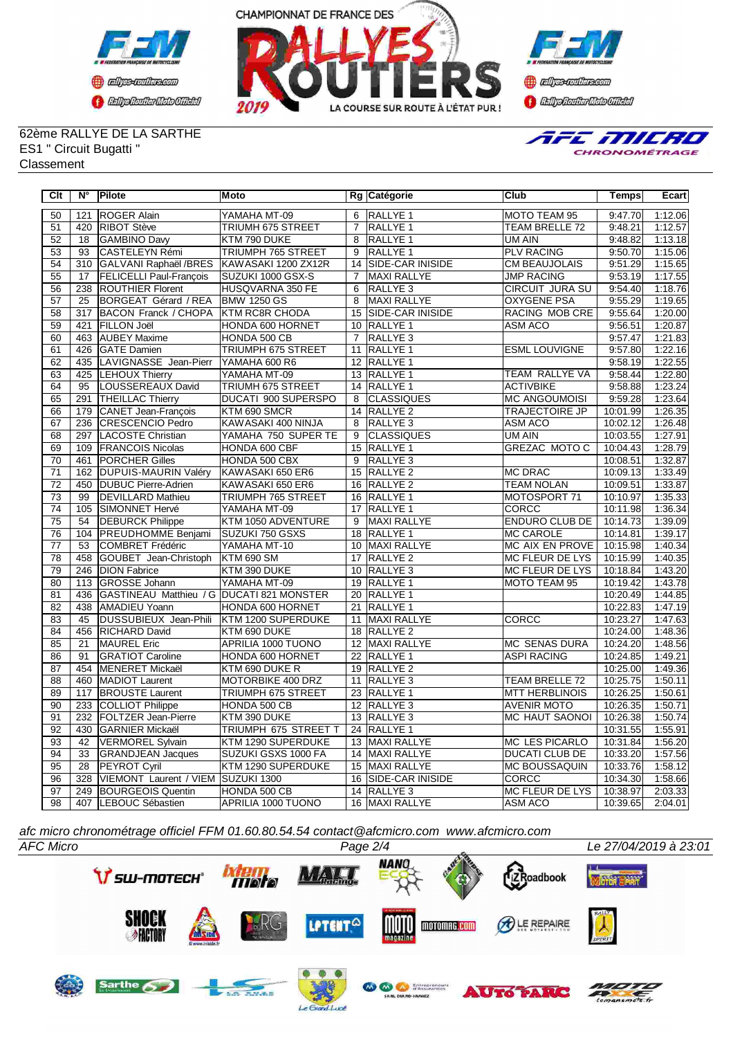



**Confederation Complementation** 

#### 62ème RALLYE DE LA SARTHE ES1 " Circuit Bugatti " **Classement**



| Clt             | $N^{\circ}$     | Pilote                                    | Moto                     |                 | Rg Catégorie            | Club                   | Temps    | Ecart                |
|-----------------|-----------------|-------------------------------------------|--------------------------|-----------------|-------------------------|------------------------|----------|----------------------|
| 50              | 121             | <b>ROGER Alain</b>                        | YAMAHA MT-09             | 6               | RALLYE <sub>1</sub>     | MOTO TEAM 95           | 9:47.70  | 1:12.06              |
| 51              | 420             | RIBOT Stève                               | TRIUMH 675 STREET        | $\overline{7}$  | <b>RALLYE 1</b>         | TEAM BRELLE 72         | 9:48.21  | 1:12.57              |
| $\overline{52}$ | $\overline{18}$ | <b>GAMBINO Davy</b>                       | KTM 790 DUKE             | $\overline{8}$  | RALLYE 1                | UM AIN                 | 9:48.82  | 1:13.18              |
| 53              | 93              | CASTELEYN Rémi                            | TRIUMPH 765 STREET       | 9               | RALLYE 1                | <b>PLV RACING</b>      | 9:50.70  | 1:15.06              |
| 54              | 310             | GALVANI Raphaël /BRES                     | KAWASAKI 1200 ZX12R      | 14              | <b>SIDE-CAR INISIDE</b> | CM BEAUJOLAIS          | 9:51.29  | $\overline{1:}15.65$ |
| 55              | 17              | <b>FELICELLI Paul-Francois</b>            | SUZUKI 1000 GSX-S        | $\overline{7}$  | <b>MAXI RALLYE</b>      | <b>JMP RACING</b>      | 9:53.19  | 1:17.55              |
| 56              | 238             | <b>ROUTHIER Florent</b>                   | HUSQVARNA 350 FE         | 6               | RALLYE 3                | <b>CIRCUIT JURA SU</b> | 9:54.40  | 1:18.76              |
| 57              | 25              | BORGEAT Gérard / REA                      | <b>BMW 1250 GS</b>       | 8               | <b>MAXI RALLYE</b>      | <b>OXYGENE PSA</b>     | 9:55.29  | 1:19.65              |
| $\overline{58}$ | 317             | BACON Franck / CHOPA                      | <b>KTM RC8R CHODA</b>    | $\overline{15}$ | SIDE-CAR INISIDE        | RACING MOB CRE         | 9:55.64  | 1:20.00              |
| 59              | 421             | <b>FILLON Joël</b>                        | <b>HONDA 600 HORNET</b>  | 10              | <b>RALLYE 1</b>         | <b>ASM ACO</b>         | 9:56.51  | 1:20.87              |
| 60              | 463             | <b>AUBEY Maxime</b>                       | HONDA 500 CB             | $\overline{7}$  | RALLYE <sub>3</sub>     |                        | 9:57.47  | 1:21.83              |
| 61              | 426             | <b>GATE Damien</b>                        | TRIUMPH 675 STREET       | 11              | <b>RALLYE 1</b>         | <b>ESML LOUVIGNE</b>   | 9:57.80  | 1:22.16              |
| 62              | 435             | LAVIGNASSE Jean-Pierr                     | YAMAHA 600 R6            |                 | 12 RALLYE 1             |                        | 9:58.19  | 1:22.55              |
| 63              | 425             | <b>LEHOUX Thierry</b>                     | YAMAHA MT-09             | 13              | RALLYE <sub>1</sub>     | <b>TEAM RALLYE VA</b>  | 9:58.44  | 1:22.80              |
| 64              | 95              | LOUSSEREAUX David                         | <b>TRIUMH 675 STREET</b> | 14              | <b>RALLYE 1</b>         | <b>ACTIVBIKE</b>       | 9:58.88  | 1:23.24              |
| 65              | 291             | <b>THEILLAC Thierry</b>                   | DUCATI 900 SUPERSPO      | 8               | <b>CLASSIQUES</b>       | <b>MC ANGOUMOISI</b>   | 9:59.28  | 1:23.64              |
| 66              | 179             | CANET Jean-François                       | KTM 690 SMCR             |                 | 14 RALLYE 2             | <b>TRAJECTOIRE JP</b>  | 10:01.99 | 1:26.35              |
| 67              | 236             | <b>CRESCENCIO Pedro</b>                   | KAWASAKI 400 NINJA       | 8               | RALLYE <sub>3</sub>     | <b>ASM ACO</b>         | 10:02.12 | 1:26.48              |
| 68              | 297             | LACOSTE Christian                         | YAMAHA 750 SUPER TE      | 9               | <b>CLASSIQUES</b>       | UM AIN                 | 10:03.55 | 1:27.91              |
| 69              | 109             | <b>FRANCOIS Nicolas</b>                   | HONDA 600 CBF            | 15              | RALLYE <sub>1</sub>     | <b>GREZAC MOTO C</b>   | 10:04.43 | 1:28.79              |
| 70              | 461             | <b>PORCHER Gilles</b>                     | HONDA 500 CBX            | 9               | RALLYE <sub>3</sub>     |                        | 10:08.51 | 1:32.87              |
| $\overline{71}$ | 162             | DUPUIS-MAURIN Valéry                      | KAWASAKI 650 ER6         | 15              | RALLYE <sub>2</sub>     | <b>MC DRAC</b>         | 10:09.13 | 1:33.49              |
| $\overline{72}$ | 450             | <b>DUBUC Pierre-Adrien</b>                | KAWASAKI 650 ER6         |                 | 16 RALLYE 2             | <b>TEAM NOLAN</b>      | 10:09.51 | 1:33.87              |
| 73              | 99              | <b>DEVILLARD Mathieu</b>                  | TRIUMPH 765 STREET       | 16              | <b>RALLYE 1</b>         | MOTOSPORT 71           | 10:10.97 | 1:35.33              |
| $\overline{74}$ | 105             | SIMONNET Hervé                            | YAMAHA MT-09             | $\overline{17}$ | RALLYE <sub>1</sub>     | <b>CORCC</b>           | 10:11.98 | 1:36.34              |
| 75              | 54              | <b>DEBURCK Philippe</b>                   | KTM 1050 ADVENTURE       | $\overline{9}$  | <b>MAXI RALLYE</b>      | <b>ENDURO CLUB DE</b>  | 10:14.73 | 1:39.09              |
| 76              | 104             | <b>PREUDHOMME Benjami</b>                 | SUZUKI 750 GSXS          | 18              | <b>RALLYE 1</b>         | <b>MC CAROLE</b>       | 10:14.81 | 1:39.17              |
| $\overline{77}$ | 53              | <b>COMBRET Frédéric</b>                   | YAMAHA MT-10             |                 | 10 MAXI RALLYE          | <b>MC AIX EN PROVE</b> | 10:15.98 | 1:40.34              |
| $\overline{78}$ | 458             | GOUBET Jean-Christoph                     | <b>KTM 690 SM</b>        | 17              | <b>RALLYE 2</b>         | <b>MC FLEUR DE LYS</b> | 10:15.99 | 1:40.35              |
| 79              | 246             | <b>DION Fabrice</b>                       | KTM 390 DUKE             | 10              | RALLYE <sub>3</sub>     | MC FLEUR DE LYS        | 10:18.84 | 1:43.20              |
| 80              | 113             | GROSSE Johann                             | YAMAHA MT-09             |                 | 19 RALLYE 1             | MOTO TEAM 95           | 10:19.42 | 1:43.78              |
| $\overline{81}$ | 436             | GASTINEAU Matthieu / G DUCATI 821 MONSTER |                          |                 | 20 RALLYE 1             |                        | 10:20.49 | 1:44.85              |
| 82              | 438             | AMADIEU Yoann                             | HONDA 600 HORNET         | 21              | RALLYE 1                |                        | 10:22.83 | 1:47.19              |
| 83              | 45              | DUSSUBIEUX Jean-Phili                     | KTM 1200 SUPERDUKE       | 11              | MAXI RALLYE             | CORCC                  | 10:23.27 | 1:47.63              |
| 84              | 456             | <b>RICHARD David</b>                      | KTM 690 DUKE             | 18              | <b>RALLYE 2</b>         |                        | 10:24.00 | 1:48.36              |
| 85              | 21              | <b>MAUREL Eric</b>                        | APRILIA 1000 TUONO       | 12              | MAXI RALLYE             | <b>MC SENAS DURA</b>   | 10:24.20 | 1:48.56              |
| 86              | 91              | <b>GRATIOT Caroline</b>                   | HONDA 600 HORNET         | 22              | RALLYE <sub>1</sub>     | <b>ASPI RACING</b>     | 10:24.85 | 1:49.21              |
| 87              | 454             | MENERET Mickaël                           | KTM 690 DUKE R           |                 | 19 RALLYE 2             |                        | 10:25.00 | 1:49.36              |
| $\overline{88}$ | 460             | MADIOT Laurent                            | MOTORBIKE 400 DRZ        | 11              | RALLYE <sub>3</sub>     | TEAM BRELLE 72         | 10:25.75 | 1:50.11              |
| 89              | 117             | <b>BROUSTE Laurent</b>                    | TRIUMPH 675 STREET       |                 | 23 RALLYE 1             | <b>MTT HERBLINOIS</b>  | 10:26.25 | 1:50.61              |
| 90              | 233             | COLLIOT Philippe                          | HONDA 500 CB             |                 | 12 RALLYE 3             | <b>AVENIR MOTO</b>     | 10:26.35 | 1:50.71              |
| 91              | 232             | <b>FOLTZER Jean-Pierre</b>                | KTM 390 DUKE             |                 | 13 RALLYE 3             | <b>MC HAUT SAONOI</b>  | 10:26.38 | 1:50.74              |
| 92              | 430             | <b>GARNIER Mickaël</b>                    | TRIUMPH 675 STREET T     | 24              | RALLYE 1                |                        | 10:31.55 | 1:55.91              |
| 93              | 42              | <b>VERMOREL Sylvain</b>                   | KTM 1290 SUPERDUKE       | 13              | MAXI RALLYE             | <b>MC LES PICARLO</b>  | 10:31.84 | 1:56.20              |
| 94              | 33              | <b>GRANDJEAN Jacques</b>                  | SUZUKI GSXS 1000 FA      | $\overline{14}$ | <b>MAXI RALLYE</b>      | <b>DUCATI CLUB DE</b>  | 10:33.20 | 1:57.56              |
| 95              | 28              | <b>PEYROT Cyril</b>                       | KTM 1290 SUPERDUKE       | 15              | <b>MAXI RALLYE</b>      | <b>MC BOUSSAQUIN</b>   | 10:33.76 | 1:58.12              |
| 96              | 328             | VIEMONT Laurent / VIEM                    | SUZUKI 1300              | 16              | <b>SIDE-CAR INISIDE</b> | CORCC                  | 10:34.30 | 1:58.66              |
| 97              | 249             | <b>BOURGEOIS Quentin</b>                  | HONDA 500 CB             |                 | 14 RALLYE 3             | <b>MC FLEUR DE LYS</b> | 10:38.97 | 2:03.33              |
| 98              |                 | 407 LEBOUC Sébastien                      | APRILIA 1000 TUONO       |                 | 16 MAXI RALLYE          | <b>ASM ACO</b>         | 10:39.65 | 2:04.01              |

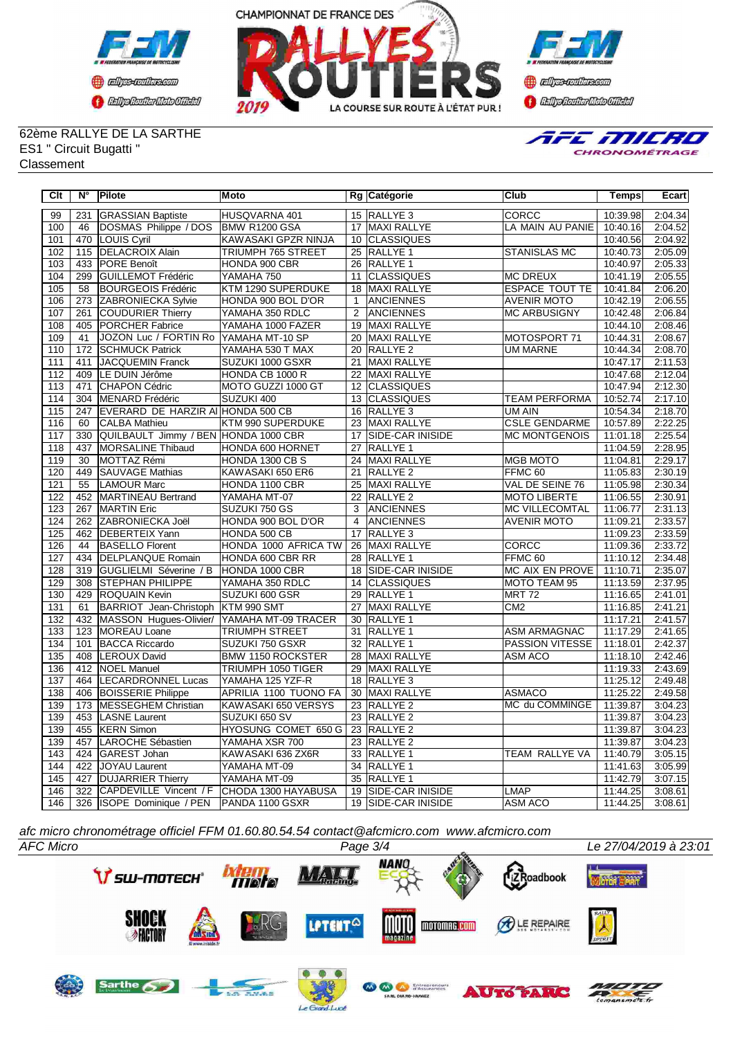





62ème RALLYE DE LA SARTHE ES1 " Circuit Bugatti " Classement



| Clt              | $N^{\circ}$     | Pilote                                     | Moto                        |                 | Rg Catégorie            | <b>Club</b>           | <b>Temps</b> | <b>Ecart</b> |
|------------------|-----------------|--------------------------------------------|-----------------------------|-----------------|-------------------------|-----------------------|--------------|--------------|
| 99               | 231             | <b>GRASSIAN Baptiste</b>                   | HUSQVARNA 401               |                 | 15 RALLYE 3             | <b>CORCC</b>          | 10:39.98     | 2:04.34      |
| 100              | 46              | DOSMAS Philippe / DOS                      | BMW R1200 GSA               |                 | 17 MAXI RALLYE          | LA MAIN AU PANIE      | 10:40.16     | 2:04.52      |
| 101              | 470             | LOUIS Cyril                                | KAWASAKI GPZR NINJA         |                 | 10 CLASSIQUES           |                       | 10:40.56     | 2:04.92      |
| 102              |                 | 115 DELACROIX Alain                        | TRIUMPH 765 STREET          |                 | 25 RALLYE 1             | <b>STANISLAS MC</b>   | 10:40.73     | 2:05.09      |
| 103              | 433             | <b>PORE Benoît</b>                         | HONDA 900 CBR               |                 | 26 RALLYE 1             |                       | 10:40.97     | 2:05.33      |
| 104              | 299             | GUILLEMOT Frédéric                         | YAMAHA 750                  | 11              | <b>CLASSIQUES</b>       | <b>MC DREUX</b>       | 10:41.19     | 2:05.55      |
| 105              | 58              | <b>BOURGEOIS Frédéric</b>                  | KTM 1290 SUPERDUKE          | 18              | <b>MAXI RALLYE</b>      | <b>ESPACE TOUT TE</b> | 10:41.84     | 2:06.20      |
| 106              | 273             | <b>ZABRONIECKA Sylvie</b>                  | HONDA 900 BOL D'OR          | $\overline{1}$  | <b>ANCIENNES</b>        | <b>AVENIR MOTO</b>    | 10:42.19     | 2:06.55      |
| 107              | 261             | <b>COUDURIER Thierry</b>                   | YAMAHA 350 RDLC             | 2               | <b>ANCIENNES</b>        | <b>MC ARBUSIGNY</b>   | 10:42.48     | 2:06.84      |
| 108              | 405             | <b>PORCHER Fabrice</b>                     | YAMAHA 1000 FAZER           | 19              | <b>MAXI RALLYE</b>      |                       | 10:44.10     | 2:08.46      |
| 109              | 41              | JOZON Luc / FORTIN Ro                      | YAMAHA MT-10 SP             |                 | 20 MAXI RALLYE          | MOTOSPORT 71          | 10:44.31     | 2:08.67      |
| 110              | 172             | <b>SCHMUCK Patrick</b>                     | YAMAHA 530 T MAX            | 20              | <b>RALLYE 2</b>         | <b>UM MARNE</b>       | 10:44.34     | 2:08.70      |
| 111              | 411             | JACQUEMIN Franck                           | SUZUKI 1000 GSXR            | 21              | MAXI RALLYE             |                       | 10:47.17     | 2:11.53      |
| 112              | 409             | LE DUIN Jérôme                             | HONDA CB 1000 R             | 22              | <b>MAXI RALLYE</b>      |                       | 10:47.68     | 2:12.04      |
| 113              | 471             | <b>CHAPON Cédric</b>                       | MOTO GUZZI 1000 GT          | 12              | <b>CLASSIQUES</b>       |                       | 10:47.94     | 2:12.30      |
| 114              | 304             | MENARD Frédéric                            | SUZUKI 400                  | 13              | <b>CLASSIQUES</b>       | <b>TEAM PERFORMA</b>  | 10:52.74     | 2:17.10      |
| 115              | 247             | EVERARD DE HARZIR AI HONDA 500 CB          |                             |                 | 16 RALLYE 3             | UM AIN                | 10:54.34     | 2:18.70      |
| 116              | 60              | <b>CALBA Mathieu</b>                       | KTM 990 SUPERDUKE           |                 | 23 MAXI RALLYE          | <b>CSLE GENDARME</b>  | 10:57.89     | 2:22.25      |
| 117              | 330             | QUILBAULT Jimmy / BEN HONDA 1000 CBR       |                             |                 | 17 SIDE-CAR INISIDE     | <b>MC MONTGENOIS</b>  | 11:01.18     | 2:25.54      |
| 118              | 437             | <b>MORSALINE Thibaud</b>                   | HONDA 600 HORNET            | $\overline{27}$ | <b>RALLYE 1</b>         |                       | 11:04.59     | 2:28.95      |
| 119              | $\overline{30}$ | MOTTAZ Rémi                                | HONDA 1300 CB S             |                 | 24 MAXI RALLYE          | <b>MGB MOTO</b>       | 11:04.81     | 2:29.17      |
| 120              | 449             | <b>SAUVAGE Mathias</b>                     | KAWASAKI 650 ER6            | $\overline{21}$ | RALLYE <sub>2</sub>     | FFMC <sub>60</sub>    | 11:05.83     | 2:30.19      |
| 121              | $\overline{55}$ | <b>LAMOUR Marc</b>                         | HONDA 1100 CBR              | 25              | <b>MAXI RALLYE</b>      | VAL DE SEINE 76       | 11:05.98     | 2:30.34      |
| 122              | 452             | MARTINEAU Bertrand                         | YAMAHA MT-07                | 22              | RALLYE <sub>2</sub>     | <b>MOTO LIBERTE</b>   | 11:06.55     | 2:30.91      |
| 123              | 267             | <b>MARTIN Eric</b>                         | SUZUKI 750 GS               | 3               | <b>ANCIENNES</b>        | <b>MC VILLECOMTAL</b> | 11:06.77     | 2:31.13      |
| 124              | 262             | ZABRONIECKA Joël                           | HONDA 900 BOL D'OR          | $\overline{4}$  | <b>ANCIENNES</b>        | <b>AVENIR MOTO</b>    | 11:09.21     | 2:33.57      |
| 125              | 462             | DEBERTEIX Yann                             | HONDA 500 CB                | $\overline{17}$ | <b>RALLYE 3</b>         |                       | 11:09.23     | 2:33.59      |
| 126              | 44              | <b>BASELLO Florent</b>                     | <b>HONDA 1000 AFRICA TW</b> |                 | 26 MAXI RALLYE          | <b>CORCC</b>          | 11:09.36     | 2:33.72      |
| 127              | 434             | <b>DELPLANQUE Romain</b>                   | HONDA 600 CBR RR            | $\overline{28}$ | <b>RALLYE 1</b>         | FFMC <sub>60</sub>    | 11:10.12     | 2:34.48      |
| 128              | 319             | GUGLIELMI Séverine / B                     | HONDA 1000 CBR              | $\overline{18}$ | <b>SIDE-CAR INISIDE</b> | MC AIX EN PROVE       | 11:10.71     | 2:35.07      |
| $\overline{129}$ | 308             | <b>STEPHAN PHILIPPE</b>                    | YAMAHA 350 RDLC             | 14              | <b>CLASSIQUES</b>       | <b>MOTO TEAM 95</b>   | 11:13.59     | 2:37.95      |
| 130              | 429             | <b>ROQUAIN Kevin</b>                       | SUZUKI 600 GSR              |                 | 29 RALLYE 1             | <b>MRT 72</b>         | 11:16.65     | 2:41.01      |
| 131              | 61              | BARRIOT Jean-Christoph KTM 990 SMT         |                             | 27              | MAXI RALLYE             | CM <sub>2</sub>       | 11:16.85     | 2:41.21      |
| 132              | 432             | MASSON Hugues-Olivier/                     | YAMAHA MT-09 TRACER         |                 | 30 RALLYE 1             |                       | 11:17.21     | 2:41.57      |
| 133              |                 | 123 MOREAU Loane                           | <b>TRIUMPH STREET</b>       |                 | 31 RALLYE 1             | <b>ASM ARMAGNAC</b>   | 11:17.29     | 2:41.65      |
| 134              | 101             | <b>BACCA Riccardo</b>                      | SUZUKI 750 GSXR             |                 | 32 RALLYE 1             | PASSION VITESSE       | 11:18.01     | 2:42.37      |
| 135              | 408             | <b>LEROUX David</b>                        | <b>BMW 1150 ROCKSTER</b>    | $\overline{28}$ | <b>MAXI RALLYE</b>      | <b>ASM ACO</b>        | 11:18.10     | 2.42.46      |
| 136              | 412             | <b>NOEL Manuel</b>                         | TRIUMPH 1050 TIGER          | 29              | <b>MAXI RALLYE</b>      |                       | 11:19.33     | 2:43.69      |
| 137              | 464             | <b>LECARDRONNEL Lucas</b>                  | YAMAHA 125 YZF-R            | 18              | RALLYE <sub>3</sub>     |                       | 11:25.12     | 2:49.48      |
| 138              | 406             | <b>BOISSERIE Philippe</b>                  | APRILIA 1100 TUONO FA       |                 | 30 MAXI RALLYE          | <b>ASMACO</b>         | 11:25.22     | 2:49.58      |
| 139              | 173             | <b>IMESSEGHEM Christian</b>                | KAWASAKI 650 VERSYS         |                 | 23 RALLYE 2             | MC du COMMINGE        | 11:39.87     | 3:04.23      |
| 139              | 453             | LASNE Laurent                              | SUZUKI 650 SV               |                 | 23 RALLYE 2             |                       | 11:39.87     | 3:04.23      |
| 139              | 455             | <b>KERN Simon</b>                          | HYOSUNG COMET 650 G         |                 | 23 RALLYE 2             |                       | 11:39.87     | 3:04.23      |
| 139              | 457             | LAROCHE Sébastien                          | YAMAHA XSR 700              |                 | 23 RALLYE 2             |                       | 11:39.87     | 3:04.23      |
| 143              | 424             | GAREST Johan                               | KAWASAKI 636 ZX6R           |                 | 33 RALLYE 1             | TEAM RALLYE VA        | 11:40.79     | 3:05.15      |
| 144              | 422             | <b>JOYAU Laurent</b>                       | YAMAHA MT-09                | 34              | <b>RALLYE 1</b>         |                       | 11:41.63     | 3:05.99      |
| 145              | 427             | <b>DUJARRIER Thierry</b>                   | YAMAHA MT-09                |                 | 35 RALLYE 1             |                       | 11:42.79     | 3:07.15      |
| 146              | 322             | CAPDEVILLE Vincent / F CHODA 1300 HAYABUSA |                             |                 | 19 SIDE-CAR INISIDE     | <b>LMAP</b>           | 11:44.25     | 3:08.61      |
| 146              |                 | 326 ISOPE Dominique / PEN                  | PANDA 1100 GSXR             |                 | 19 SIDE-CAR INISIDE     | ASM ACO               | 11:44.25     | 3:08.61      |